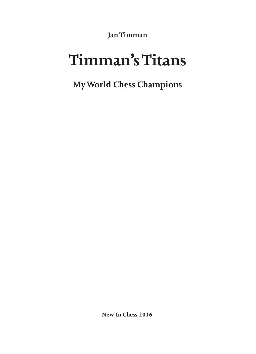**Jan Timman**

# **Timman's Titans**

**My World Chess Champions**

**New In Chess 2016**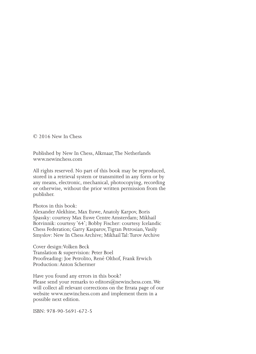© 2016 New In Chess

Published by New In Chess, Alkmaar, The Netherlands www.newinchess.com

All rights reserved. No part of this book may be reproduced, stored in a retrieval system or transmitted in any form or by any means, electronic, mechanical, photocopying, recording or otherwise, without the prior written permission from the publisher.

Photos in this book:

Alexander Alekhine, Max Euwe, Anatoly Karpov, Boris Spassky: courtesy Max Euwe Centre Amsterdam; Mikhail Botvinnik: courtesy '64'; Bobby Fischer: courtesy Icelandic Chess Federation; Garry Kasparov, Tigran Petrosian, Vasily Smyslov: New In Chess Archive; Mikhail Tal: Turov Archive

Cover design:Volken Beck Translation & supervision: Peter Boel Proofreading: Joe Petrolito, René Olthof, Frank Erwich Production: Anton Schermer

Have you found any errors in this book? Please send your remarks to editors@newinchess.com. We will collect all relevant corrections on the Errata page of our website www.newinchess.com and implement them in a possible next edition.

ISBN: 978-90-5691-672-5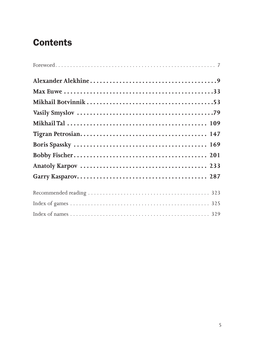# **Contents**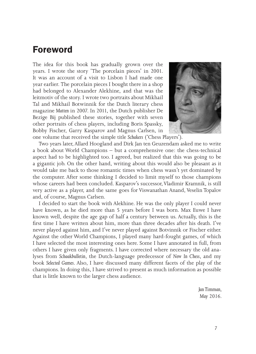## **Foreword**

The idea for this book has gradually grown over the years. I wrote the story 'The porcelain pieces' in 2001. It was an account of a visit to Lisbon I had made one year earlier. The porcelain pieces I bought there in a shop had belonged to Alexander Alekhine, and that was the leitmotiv of the story. I wrote two portraits about Mikhail Tal and Mikhail Botwinnik for the Dutch literary chess magazine *Matten* in 2007. In 2011, the Dutch publisher De Bezige Bij published these stories, together with seven other portraits of chess players, including Boris Spassky, Bobby Fischer, Garry Kasparov and Magnus Carlsen, in one volume that received the simple title *Schakers* ('Chess Players').



Two years later, Allard Hoogland and Dirk Jan ten Geuzendam asked me to write a book about World Champions – but a comprehensive one: the chess-technical aspect had to be highlighted too. I agreed, but realized that this was going to be a gigantic job. On the other hand, writing about this would also be pleasant as it would take me back to those romantic times when chess wasn't yet dominated by the computer. After some thinking I decided to limit myself to those champions whose careers had been concluded. Kasparov's successor, Vladimir Kramnik, is still very active as a player, and the same goes for Viswanathan Anand, Veselin Topalov and, of course, Magnus Carlsen.

I decided to start the book with Alekhine. He was the only player I could never have known, as he died more than 5 years before I was born. Max Euwe I have known well, despite the age gap of half a century between us. Actually, this is the first time I have written about him, more than three decades after his death. I've never played against him, and I've never played against Botvinnik or Fischer either. Against the other World Champions, I played many hard-fought games, of which I have selected the most interesting ones here. Some I have annotated in full, from others I have given only fragments. I have corrected where necessary the old analyses from *Schaakbulletin*, the Dutch-language predecessor of *New In Chess*, and my book *Selected Games*. Also, I have discussed many different facets of the play of the champions. In doing this, I have strived to present as much information as possible that is little known to the larger chess audience.

> *Jan Timman, May 2016.*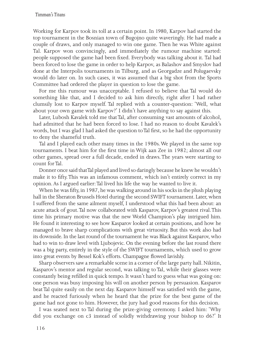Working for Karpov took its toll at a certain point. In 1980, Karpov had started the top tournament in the Bosnian town of Bugojno quite waveringly. He had made a couple of draws, and only managed to win one game. Then he was White against Tal. Karpov won convincingly, and immediately the rumour machine started: people supposed the game had been fixed. Everybody was talking about it. Tal had been forced to lose the game in order to help Karpov, as Balashov and Smyslov had done at the Interpolis tournaments in Tilburg, and as Georgadze and Polugaevsky would do later on. In such cases, it was assumed that a big shot from the Sports Committee had ordered the player in question to lose the game.

For me this rumour was unacceptable. I refused to believe that Tal would do something like that, and I decided to ask him directly, right after I had rather clumsily lost to Karpov myself. Tal replied with a counter-question: 'Well, what about your own game with Karpov?' I didn't have anything to say against this.

Later, Lubosh Kavalek told me that Tal, after consuming vast amounts of alcohol, had admitted that he had been forced to lose. I had no reason to doubt Kavalek's words, but I was glad I had asked the question to Tal first, so he had the opportunity to deny the shameful truth.

Tal and I played each other many times in the 1980s. We played in the same top tournaments. I beat him for the first time in Wijk aan Zee in 1982; almost all our other games, spread over a full decade, ended in draws. The years were starting to count for Tal.

Donner once said that Tal played and lived so daringly because he knew he wouldn't make it to fifty. This was an infamous comment, which isn't entirely correct in my opinion. As I argued earlier: Tal lived his life the way he wanted to live it.

When he was fifty, in 1987, he was walking around in his socks in the plush playing hall in the Sheraton Brussels Hotel during the second SWIFT tournament. Later, when I suffered from the same ailment myself, I understood what this had been about: an acute attack of gout. Tal now collaborated with Kasparov, Karpov's greatest rival. This time his primary motive was that the new World Champion's play intrigued him. He found it interesting to see how Kasparov looked at certain positions, and how he managed to brave sharp complications with great virtuosity. But this work also had its downside. In the last round of the tournament he was Black against Kasparov, who had to win to draw level with Ljubojevic. On the evening before the last round there was a big party, entirely in the style of the SWIFT tournaments, which used to grow into great events by Bessel Kok's efforts. Champagne flowed lavishly.

Sharp observers saw a remarkable scene in a corner of the large party hall. Nikitin, Kasparov's mentor and regular second, was talking to Tal, while their glasses were constantly being refilled in quick tempo. It wasn't hard to guess what was going on: one person was busy imposing his will on another person by persuasion. Kasparov beat Tal quite easily on the next day. Kasparov himself was satisfied with the game, and he reacted furiously when he heard that the prize for the best game of the game had not gone to him. However, the jury had good reasons for this decision.

I was seated next to Tal during the prize-giving ceremony. I asked him: 'Why did you exchange on c3 instead of solidly withdrawing your bishop to d6?' It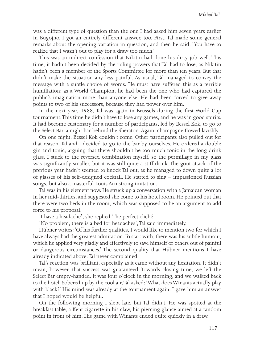was a different type of question than the one I had asked him seven years earlier in Bugojno. I got an entirely different answer, too. First, Tal made some general remarks about the opening variation in question, and then he said: 'You have to realize that I wasn't out to play for a draw too much.'

This was an indirect confession that Nikitin had done his dirty job well. This time, it hadn't been decided by the ruling powers that Tal had to lose, as Nikitin hadn't been a member of the Sports Committee for more than ten years. But that didn't make the situation any less painful. As usual, Tal managed to convey the message with a subtle choice of words. He must have suffered this as a terrible humiliation: as a World Champion, he had been the one who had captured the public's imagination more than anyone else. He had been forced to give away points to two of his successors, because they had power over him.

In the next year, 1988, Tal was again in Brussels during the first World Cup tournament. This time he didn't have to lose any games, and he was in good spirits. It had become customary for a number of participants, led by Bessel Kok, to go to the Select Bar, a night bar behind the Sheraton. Again, champagne flowed lavishly.

On one night, Bessel Kok couldn't come. Other participants also pulled out for that reason. Tal and I decided to go to the bar by ourselves. He ordered a double gin and tonic, arguing that there shouldn't be too much tonic in the long drink glass. I stuck to the reversed combination myself, so the permillage in my glass was significantly smaller, but it was still quite a stiff drink. The gout attack of the previous year hadn't seemed to knock Tal out, as he managed to down quite a lot of glasses of his self-designed cocktail. He started to sing – impassioned Russian songs, but also a masterful Louis Armstrong imitation.

Tal was in his element now. He struck up a conversation with a Jamaican woman in her mid-thirties, and suggested she come to his hotel room. He pointed out that there were two beds in the room, which was supposed to be an argument to add force to his proposal.

'I have a headache', she replied. The perfect cliché.

'No problem, there is a bed for headaches', Tal said immediately.

Hübner writes: 'Of his further qualities, I would like to mention two for which I have always had the greatest admiration. To start with, there was his subtle humour, which he applied very gladly and effectively to save himself or others out of painful or dangerous circumstances.' The second quality that Hübner mentions I have already indicated above: Tal never complained.

Tal's reaction was brilliant, especially as it came without any hesitation. It didn't mean, however, that success was guaranteed. Towards closing time, we left the Select Bar empty-handed. It was four o'clock in the morning, and we walked back to the hotel. Sobered up by the cool air, Tal asked: 'What does Winants actually play with black?' His mind was already at the tournament again. I gave him an answer that I hoped would be helpful.

On the following morning I slept late, but Tal didn't. He was spotted at the breakfast table, a Kent cigarette in his claw, his piercing glance aimed at a random point in front of him. His game with Winants ended quite quickly in a draw.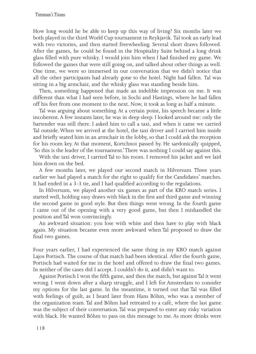How long would he be able to keep up this way of living? Six months later we both played in the third World Cup tournament in Reykjavik. Tal took an early lead with two victories, and then started freewheeling. Several short draws followed. After the games, he could be found in the Hospitality Suite behind a long drink glass filled with pure whisky. I would join him when I had finished my game. We followed the games that were still going on, and talked about other things as well. One time, we were so immersed in our conversation that we didn't notice that all the other participants had already gone to the hotel. Night had fallen. Tal was sitting in a big armchair, and the whisky glass was standing beside him.

Then, something happened that made an indelible impression on me. It was different than what I had seen before, in Sochi and Hastings, where he had fallen off his feet from one moment to the next. Now, it took as long as half a minute.

Tal was arguing about something. At a certain point, his speech became a little incoherent. A few instants later, he was in deep sleep. I looked around me: only the bartender was still there. I asked him to call a taxi, and when it came we carried Tal outside. When we arrived at the hotel, the taxi driver and I carried him inside and briefly seated him in an armchair in the lobby, so that I could ask the reception for his room key. At that moment, Kortchnoi passed by. He sardonically quipped, 'So this is the leader of the tournament.' There was nothing I could say against this.

With the taxi driver, I carried Tal to his room. I removed his jacket and we laid him down on the bed.

A few months later, we played our second match in Hilversum. Three years earlier we had played a match for the right to qualify for the Candidates' matches. It had ended in a 3-3 tie, and I had qualified according to the regulations.

In Hilversum, we played another six games as part of the KRO match series. I started well, holding easy draws with black in the first and third game and winning the second game in good style. But then things went wrong. In the fourth game I came out of the opening with a very good game, but then I mishandled the position and Tal won convincingly.

An awkward situation: you lose with white and then have to play with black again. My situation became even more awkward when Tal proposed to draw the final two games.

Four years earlier, I had experienced the same thing in my KRO match against Lajos Portisch. The course of that match had been identical. After the fourth game, Portisch had waited for me in the hotel and offered to draw the final two games. In neither of the cases did I accept. I couldn't do it, and didn't want to.

Against Portisch I won the fifth game, and then the match, but against Tal it went wrong. I went down after a sharp struggle, and I left for Amsterdam to consider my options for the last game. In the meantime, it turned out that Tal was filled with feelings of guilt, as I heard later from Hans Böhm, who was a member of the organization team. Tal and Böhm had retreated to a café, where the last game was the subject of their conversation. Tal was prepared to enter any risky variation with black. He wanted Böhm to pass on this message to me. As more drinks were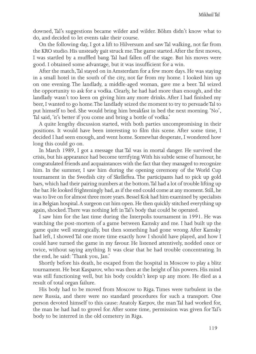downed, Tal's suggestions became wilder and wilder. Böhm didn't know what to do, and decided to let events take their course.

On the following day, I got a lift to Hilversum and saw Tal walking, not far from the KRO studio. His unsteady gait struck me. The game started. After the first moves, I was startled by a muffled bang. Tal had fallen off the stage. But his moves were good. I obtained some advantage, but it was insufficient for a win.

After the match, Tal stayed on in Amsterdam for a few more days. He was staying in a small hotel in the south of the city, not far from my home. I looked him up on one evening. The landlady, a middle-aged woman, gave me a beer. Tal seized the opportunity to ask for a vodka. Clearly, he had had more than enough, and the landlady wasn't too keen on giving him any more drinks. After I had finished my beer, I wanted to go home. The landlady seized the moment to try to persuade Tal to put himself to bed. She would bring him breakfast in bed the next morning. 'No', Tal said, 'it's better if you come and bring a bottle of vodka.'

A quite lengthy discussion started, with both parties uncompromising in their positions. It would have been interesting to film this scene. After some time, I decided I had seen enough, and went home. Somewhat desperate, I wondered how long this could go on.

In March 1989, I got a message that Tal was in mortal danger. He survived the crisis, but his appearance had become terrifying. With his subtle sense of humour, he congratulated friends and acquaintances with the fact that they managed to recognize him. In the summer, I saw him during the opening ceremony of the World Cup tournament in the Swedish city of Skelleftea. The participants had to pick up gold bars, which had their pairing numbers at the bottom. Tal had a lot of trouble lifting up the bar. He looked frighteningly bad, as if the end could come at any moment. Still, he was to live on for almost three more years. Bessel Kok had him examined by specialists in a Belgian hospital. A surgeon cut him open. He then quickly stitched everything up again, shocked. There was nothing left in Tal's body that could be operated.

I saw him for the last time during the Interpolis tournament in 1991. He was watching the post-mortem of a game between Kamsky and me. I had built up the game quite well strategically, but then something had gone wrong. After Kamsky had left, I showed Tal one more time exactly how I should have played, and how I could have turned the game in my favour. He listened attentively, nodded once or twice, without saying anything. It was clear that he had trouble concentrating. In the end, he said: 'Thank you, Jan.'

Shortly before his death, he escaped from the hospital in Moscow to play a blitz tournament. He beat Kasparov, who was then at the height of his powers. His mind was still functioning well, but his body couldn't keep up any more. He died as a result of total organ failure.

His body had to be moved from Moscow to Riga. Times were turbulent in the new Russia, and there were no standard procedures for such a transport. One person devoted himself to this cause: Anatoly Karpov, the man Tal had worked for, the man he had had to grovel for. After some time, permission was given for Tal's body to be interred in the old cemetery in Riga.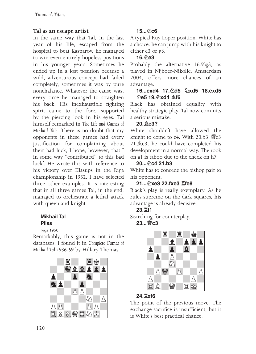#### **Tal as an escape artist**

In the same way that Tal, in the last year of his life, escaped from the hospital to beat Kasparov, he managed to win even entirely hopeless positions in his younger years. Sometimes he ended up in a lost position because a wild, adventurous concept had failed completely, sometimes it was by pure nonchalance. Whatever the cause was, every time he managed to straighten his back. His inexhaustible fighting spirit came to the fore, supported by the piercing look in his eyes. Tal himself remarked in *The Life and Games of Mikhail Tal*: 'There is no doubt that my opponents in these games had every justification for complaining about their bad luck, I hope, however, that I in some way "contributed" to this bad luck'. He wrote this with reference to his victory over Klasups in the Riga championship in 1952. I have selected three other examples. It is interesting that in all three games Tal, in the end, managed to orchestrate a lethal attack with queen and knight.

#### Mikhail Tal Pliss

Riga 1950

Remarkably, this game is not in the databases. I found it in *Complete Games of Mikhail Tal 1936-59* by Hillary Thomas.



## **15...♘c6**

A typical Ruy Lopez position. White has a choice: he can jump with his knight to either e3 or g3.

#### $16.6e3$

Probably the alternative  $16.\overline{2}g3$ , as played in Nijboer-Nikolic, Amsterdam 2004, offers more chances of an advantage.

#### **16...exd4 17.♘d5 ♘xd5 18.exd5 ♘e5 19.♘xd4 ♗f6**

Black has obtained equality with healthy strategic play. Tal now commits a serious mistake.

## **20.♗e3?**

White shouldn't have allowed the knight to come to c4. With  $20.b3$   $\frac{100}{10}$ c3 21.♗e3, he could have completed his development in a normal way. The rook on a1 is taboo due to the check on h7.

#### **20...♘c4 21.b3**

White has to concede the bishop pair to his opponent.

## **21...♘xe3 22.fxe3 ♖fe8**

Black's play is really exemplary. As he rules supreme on the dark squares, his advantage is already decisive.

## **23.♖f1**

Searching for counterplay. **23...♕c3** 



## **24.♖xf6**

The point of the previous move. The exchange sacrifice is insufficient, but it is White's best practical chance.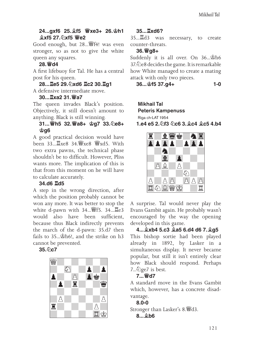#### **24...gxf6 25.♗f5 ♕xe3+ 26.♔h1 ♗xf5 27.♘xf5 ♕e2**

Good enough, but 28...♕f4! was even stronger, so as not to give the white queen any squares.

#### **28.♕d4**

A first lifebuoy for Tal. He has a central post for his queen.

**28...♖e5 29.♘xd6 ♖c2 30.♖g1** A defensive intermediate move.

#### **30...♖xa2 31.♕a7**

The queen invades Black's position. Objectively, it still doesn't amount to anything. Black is still winning.

#### **31...♕h5 32.♕a8+ ♔g7 33.♘e8+ ♔g6**

A good practical decision would have been 33...♖xe8 34.♕xe8 ♕xd5. With two extra pawns, the technical phase shouldn't be to difficult. However, Pliss wants more. The implication of this is that from this moment on he will have to calculate accurately.

#### **34.d6 ♖d5**

A step in the wrong direction, after which the position probably cannot be won any more. It was better to stop the white d-pawn with 34...♕f5. 34...♖e3 would also have been sufficient, because thus Black indirectly prevents the march of the d-pawn: 35.d7 then fails to 35...♔h6!, and the strike on h3 cannot be prevented.

#### **35.♘c7**



## **35...♖xd6?**

35...♖d3 was necessary, to create counter-threats.

#### **36.♕g8+**

Suddenly it is all over. On 36...♔h6 37.♘e8 decides the game. It is remarkable how White managed to create a mating attack with only two pieces.

**36...♔f5 37.g4+ 1-0**

#### Mikhail Tal Peteris Kampenuss Riga ch-LAT 1954

**1.e4 e5 2.♘f3 ♘c6 3.♗c4 ♗c5 4.b4**



A surprise. Tal would never play the Evans Gambit again. He probably wasn't encouraged by the way the opening developed in this game.

#### **4...♗xb4 5.c3 ♗a5 6.d4 d6 7.♗g5** This bishop sortie had been played already in 1892, by Lasker in a simultaneous display. It never became popular, but still it isn't entirely clear how Black should respond. Perhaps  $7..\overline{2}$ ge7 is best.

#### **7...♕d7**

A standard move in the Evans Gambit which, however, has a concrete disadvantage.

#### **8.0-0**

Stronger than Lasker's 8.♕d3.

#### **8...♗b6**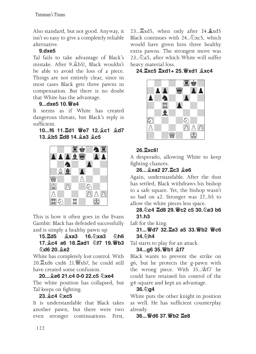Also standard, but not good. Anyway, it isn't so easy to give a completely reliable alternative.

## **9.dxe5**

Tal fails to take advantage of Black's mistake. After 9.♗b5!, Black wouldn't be able to avoid the loss of a piece. Things are not entirely clear, since in most cases Black gets three pawns in compensation. But there is no doubt that White has the advantage.

## **9...dxe5 10.♕a4**

It seems as if White has created dangerous threats, but Black's reply is sufficient.

**10...f6 11.♖d1 ♕e7 12.♗c1 ♗d7 13.♗b5 ♖d8 14.♗a3 ♗c5**



This is how it often goes in the Evans Gambit: Black has defended successfully and is simply a healthy pawn up

#### **15.♖d5 ♗xa3 16.♘xa3 ♘h6 17.♗c4 a6 18.♖ad1 ♘f7 19.♕b3 ♘d6 20.♗e2**

White has completely lost control. With 20.♖xd6 cxd6 21.♕xb7, he could still have created some confusion.

**20...♗e6 21.c4 0-0 22.c5 ♘xe4** The white position has collapsed, but Tal keeps on fighting.

## **23.♗c4 ♘xc5**

It is understandable that Black takes another pawn, but there were two even stronger continuations. First,

23...♖xd5, when only after 24.**♗**xd5 Black continues with  $24...\&times5$ , which would have given him three healthy extra pawns. The strongest move was 23...♘a5, after which White will suffer heavy material loss.

**24.♖xc5 ♖xd1+ 25.♕xd1 ♗xc4** 



## **26.♖xc6!**

A desperado, allowing White to keep fighting chances.

## **26...♗xa2 27.♖c3 ♗e6**

Again, understandable. After the dust has settled, Black withdraws his bishop to a safe square. Yet, the bishop wasn't so bad on a2. Stronger was 27...b5 to allow the white pieces less space.

## **28.♘c4 ♖d8 29.♕c2 c5 30.♘e3 b6 31.h3**

*Luft* for the king.

**31...♕d7 32.♖a3 a5 33.♕b2 ♕c6 34. 公h4** 

Tal starts to play for an attack.

## **34...g6 35.♕b1 ♗f7**

Black wants to prevent the strike on g6, but he protects the g-pawn with the wrong piece. With 35...♔f7 he could have retained his control of the g4-square and kept an advantage.

## **36.♘g4**

White puts the other knight in position as well. He has sufficient counterplay already.

## **36...♕d6 37.♕b2 ♖e8**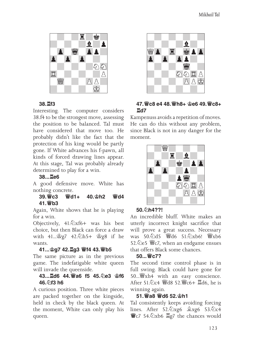

#### **38.♖f3**

Interesting. The computer considers 38.f4 to be the strongest move, assessing the position to be balanced. Tal must have considered that move too. He probably didn't like the fact that the protection of his king would be partly gone. If White advances his f-pawn, all kinds of forced drawing lines appear. At this stage, Tal was probably already determined to play for a win.

#### **38...♖e6**

A good defensive move. White has nothing concrete.

#### **39.♕c3 ♕d1+ 40.♔h2 ♕d4 41.♕b3**

Again, White shows that he is playing for a win.

Objectively, 41.♘xf6+ was his best choice, but then Black can force a draw with 41...♔g7 42.♘h5+ ♔g8 if he wants.

#### **41...♔g7 42.♖g3 ♕f4 43.♕b5**

The same picture as in the previous game. The indefatigable white queen will invade the queenside.

#### **43...♖d6 44.♕a6 f5 45.♘e3 ♔f6 46.♘f3 h6**

A curious position. Three white pieces are packed together on the kingside, held in check by the black queen. At the moment, White can only play his queen.



#### **47.♕c8 e4 48.♕h8+ ♔e6 49.♕c8+ ♖d7**

Kampenuss avoids a repetition of moves. He can do this without any problem, since Black is not in any danger for the moment.



#### **50.♘h4??!**

An incredible bluff. White makes an utterly incorrect knight sacrifice that will prove a great success. Necessary was 50.4d5 ¥d6 51.4xb6! \&xb6 52. ② e5 *We7*, when an endgame ensues that offers Black some chances.

#### **50...♕c7?**

The second time control phase is in full swing. Black could have gone for 50...♕xh4 with an easy conscience. After 51.♘c4 ♕d8 52.♕c6+ ♖d6, he is winning again.

#### **51.♕a8 ♕d6 52.♔h1**

Tal consistently keeps avoiding forcing lines. After 52.♘xg6 ♗xg6 53.♘c4 **♕**c7 54.♘xb6 ♖g7 the chances would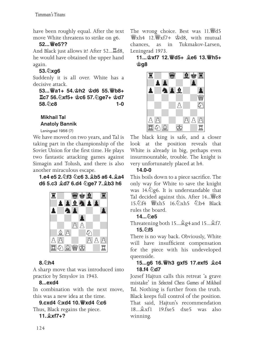have been roughly equal. After the text move White threatens to strike on g6.

## **52...♕e5??**

And Black just allows it! After 52...♖d8, he would have obtained the upper hand again.

## **53.♘xg6**

Suddenly it is all over. White has a decisive attack.

**53...♕a1+ 54.♔h2 ♔d6 55.♕b8+ ♖c7 56.♘xf5+ ♔c6 57.♘ge7+ ♔d7 58.** *o***c8 1-0** 

Mikhail Tal Anatoly Bannik

Leningrad 1956 (7)

We have moved on two years, and Tal is taking part in the championship of the Soviet Union for the first time. He plays two fantastic attacking games against Simagin and Tolush, and there is also another miraculous escape.

#### **1.e4 e5 2.♘f3 ♘c6 3.♗b5 a6 4.♗a4 d6 5.c3 ♗d7 6.d4 ♘ge7 7.♗b3 h6**



## **8.♘h4**

A sharp move that was introduced into practice by Smyslov in 1943.

## **8...exd4**

In combination with the next move, this was a new idea at the time.

**9.cxd4 ♘xd4 10.♕xd4 ♘c6** Thus, Black regains the piece.

## **11.♗xf7+?**

The wrong choice. Best was 11. ≝d5 ♕xh4 12.♕xf7+ ♔d8, with mutual chances, as in Tukmakov-Larsen, Leningrad 1973.

#### **11...♔xf7 12.♕d5+ ♗e6 13.♕h5+ ♔g8**



The black king is safe, and a closer look at the position reveals that White is already in big, perhaps even insurmountable, trouble. The knight is very unfortunately placed at h4.

## **14.0-0**

This boils down to a piece sacrifice. The only way for White to save the knight was  $14.\overline{2}$ g6. It is understandable that Tal decided against this. After 14... \e 15. hf4  $\frac{15.6}{16.6}$ xh5  $\frac{5.6}{16.4}$  Black rules the board.

## **14...♘e5**

Threatening both 15...♗g4 and 15...♗f7. **15.♘f5**

There is no way back. Obviously, White will have insufficient compensation for the piece with his undeveloped queenside.

## **15...g6 16.♕h3 gxf5 17.exf5 ♗c4 18.f4 ♘d7**

Jozsef Hajtun calls this retreat 'a grave mistake' in *Selected Chess Games of Mikhail Tal*. Nothing is further from the truth. Black keeps full control of the position. That said, Hajtun's recommendation<br>18...拿xf1 19.fxe.5 dxe.5 was also  $19$  fxe5 dxe5 was also winning.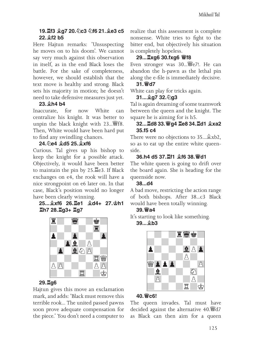#### **19.♖f3 ♗g7 20.♘c3 ♘f6 21.♗e3 c5 22.♗f2 b5**

Here Hajtun remarks: 'Unsuspecting he moves on to his doom'. We cannot say very much against this observation in itself, as in the end Black loses the battle. For the sake of completeness, however, we should establish that the text move is healthy and strong. Black sets his majority in motion; he doesn't need to take defensive measures just yet.

#### **23.♗h4 b4**

Inaccurate, for now White can centralize his knight. It was better to unpin the black knight with 23... ¥f8. Then, White would have been hard put to find any swindling chances.

## **24.♘e4 ♗d5 25.♗xf6**

Curious. Tal gives up his bishop to keep the knight for a possible attack. Objectively, it would have been better to maintain the pin by 25.♖e3. If Black exchanges on e4, the rook will have a nice strongpoint on e6 later on. In that case, Black's position would no longer have been clearly winning.

#### **25...♗xf6 26.♖e1 ♗d4+ 27.♔h1 ♖h7 28.♖g3+ ♖g7**



## **29.♖g6**

Hajtun gives this move an exclamation mark, and adds: 'Black must remove this terrible rook... The united passed pawns soon prove adequate compensation for the piece.' You don't need a computer to

realize that this assessment is complete nonsense. White tries to fight to the bitter end, but objectively his situation is completely hopeless.

## **29...♖xg6 30.fxg6 ♕f8**

Even stronger was 30...♕e7!. He can abandon the h-pawn as the lethal pin along the e-file is immediately decisive.

#### **31.♕d7**

White can play for tricks again.

#### **31...♗g7 32.♘g3**

Tal is again dreaming of some teamwork between the queen and the knight. The square he is aiming for is h5.

#### **32...♖d8 33.♕g4 ♖e8 34.♖d1 ♗xa2 35.f5 c4**

There were no objections to 35...♗xb2, so as to eat up the entire white queenside.

#### **36.h4 d5 37.♖f1 ♗f6 38.♕d1**

The white queen is going to drift over the board again. She is heading for the queenside now.

#### **38...d4**

A bad move, restricting the action range of both bishops. After 38...c3 Black would have been totally winning.

#### **39.♕a4**

It's starting to look like something. **39...♗b3** 



#### **40.♕c6!**

The queen invades. Tal must have decided against the alternative 40.♕d7 as Black can then aim for a queen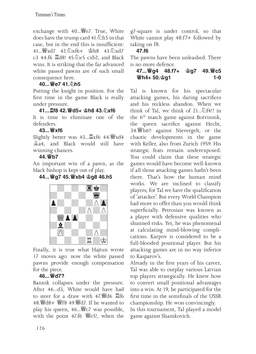exchange with 40...♕e7. True, White does have the trump card 41.♘h5 in that case, but in the end this is insufficient: 41...♕xd7 42.♘xf6+ ♔h8 43.♘xd7 c3 44.f6 ♖d8! 45.♘e5 cxb2, and Black wins. It is striking that the far advanced white passed pawns are of such small consequence here.

#### **40...♕e7 41.♘h5**

Putting the knight in position. For the first time in the game Black is really under pressure.

#### **41...♖f8 42.♕d5+ ♔h8 43.♘xf6**

It is time to eliminate one of the defenders.

#### **43...♕xf6**

Slightly better was 43...♖xf6 44.♕xd4 ♗a4, and Black would still have winning chances.

#### **44.♕b7**

An important win of a pawn, as the black bishop is kept out of play.

## **44...♕g7 45.♕xb4 ♔g8 46.h5**



Finally, it is true what Hajtun wrote 17 moves ago: now the white passed pawns provide enough compensation for the piece.

## **46...♕d7?**

Bannik collapses under the pressure. After 46...d3, White would have had to steer for a draw with 47.♕d6 ♖f6 48.♕d8+ ♕f8 49.♕d7. If he wanted to play his queen, 46...♕c7 was possible, with the point 47.f6 ♕e5!, when the

g7-square is under control, so that White cannot play 48.f7+ followed by taking on f8.

## **47.f6**

The pawns have been unleashed. There is no more defence.

|  |  | $1 - 0$ |
|--|--|---------|

Tal is known for his spectacular attacking games, his daring sacrifices and his reckless abandon. When we think of Tal, we think of 21...♘f4!? in the 6<sup>th</sup> match game against Botvinnik, the queen sacrifice against Hecht, 34.♕h6!! against Nievergelt, or the chaotic developments in the game with Keller, also from Zurich 1959. His strategic feats remain underexposed. You could claim that these strategic games would have become well-known if all those attacking games hadn't been there. That's how the human mind works. We are inclined to classify players; for Tal we have the qualification of 'attacker'. But every World Champion had more to offer than you would think superficially. Petrosian was known as a player with defensive qualities who shunned risks. Yet, he was phenomenal at calculating mind-blowing complications. Karpov is considered to be a full-blooded positional player. But his attacking games are in no way inferior to Kasparov's.

Already in the first years of his career, Tal was able to outplay various Latvian top players strategically. He knew how to convert small positional advantages into a win. At 19, he participated for the first time in the semifinals of the USSR championship. He won convincingly. In this tournament, Tal played a model game against Shamkovich.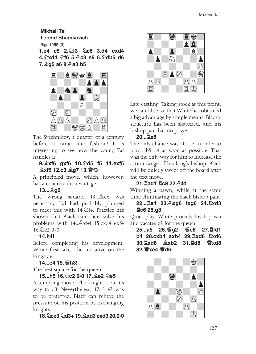Mikhail Tal Leonid Shamkovich Riga 1955 (3) **1.e4 c5 2.♘f3 ♘c6 3.d4 cxd4** 

**4.♘xd4 ♘f6 5.♘c3 e5 6.♘db5 d6 7.♗g5 a6 8.♘a3 b5**



The Sveshnikov, a quarter of a century before it came into fashion! It is interesting to see how the young Tal handles it.

#### **9.♗xf6 gxf6 10.♘d5 f5 11.exf5 ♗xf5 12.c3 ♗g7 13.♕f3**

A principled move, which, however, has a concrete disadvantage.

#### **13...♗g6**

The wrong square. 13...♗e6 was necessary. Tal had probably planned to meet this with 14.<del>⊘f4. Practice has</del> shown that Black can then solve his problems with  $14...\text{\textdegreeled{2}}$ d4! 15.cxd4 exf4  $16.2c2$  0-0.

## **14.h4!**

Before completing his development, White first takes the initiative on the kingside.

## **14...e4 15.♕h3!**

The best square for the queen.

## **15...h5 16.♘c2 0-0 17.♗e2 ♘e5**

A tempting move. The knight is on its way to d3. Nevertheless, 17...∕ e7 was to be preferred. Black can relieve the pressure on his position by exchanging knights.

## **18.♘ce3 ♘d3+ 19.♗xd3 exd3 20.0-0**



Late castling. Taking stock at this point, we can observe that White has obtained a big advantage by simple means. Black's structure has been shattered, and his bishop pair has no power.

#### **20...♖e8**

The only chance was 20...a5 in order to play ...b5-b4 as soon as possible. That was the only way for him to increase the action range of his king's bishop. Black will be quietly swept off the board after the text move.

## **21.♖ad1 ♖c8 22.♘f4**

Winning a pawn, while at the same time eliminating the black bishop pair.

#### **22...♖e4 23.♘xg6 fxg6 24.♖xd3 ♖c6 25.g3**

Quiet play. White protects his h-pawn and vacates g2 for the queen.

**25...a5 26.♕g2 ♕e8 27.♖fd1 b4 28.cxb4 axb4 29.♖xd6 ♖xd6 30.♖xd6 ♗xb2 31.♖d8 ♕xd8 32.♕xe4 ♕d6** 

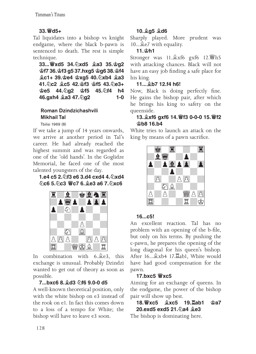## **33.♕d5+**

Tal liquidates into a bishop vs knight endgame, where the black b-pawn is sentenced to death. The rest is simple technique.

**33...♕xd5 34.♘xd5 ♗a3 35.♔g2 ♔f7 36.♔f3 g5 37.hxg5 ♔g6 38.♔f4 ♗c1+ 39.♔e4 ♔xg5 40.♘xb4 ♗a3 41.♘c2 ♗c5 42.♔f3 ♔f5 43.♘e3+ ♔e5 44.♘g2 ♔f5 45.♘f4 h4 46.gxh4 ♗a3 47.♘g2 1-0**

## Roman Dzindzichashvili Mikhail Tal

Tbilisi 1969 (8)

If we take a jump of 14 years onwards, we arrive at another period in Tal's career. He had already reached the highest summit and was regarded as one of the 'old hands'. In the Goglidze Memorial, he faced one of the most talented youngsters of the day.

#### **1.e4 c5 2.♘f3 e6 3.d4 cxd4 4.♘xd4 ♘c6 5.♘c3 ♕c7 6.♗e3 a6 7.♘xc6**



In combination with 6. e3, this exchange is unusual. Probably Dzindzi wanted to get out of theory as soon as possible.

## **7...bxc6 8.♗d3 ♘f6 9.0-0 d5**

A well-known theoretical position, only with the white bishop on e3 instead of the rook on e1. In fact this comes down to a loss of a tempo for White; the bishop will have to leave e3 soon.

## **10.♗g5 ♗d6**

Sharply played. More prudent was 10...♗e7 with equality.

## **11.♔h1**

Stronger was 11.♗xf6 gxf6 12.♕h5 with attacking chances. Black will not have an easy job finding a safe place for his king.

## **11...♗b7 12.f4 h6!**

Now, Black is doing perfectly fine. He gains the bishop pair, after which he brings his king to safety on the queenside.

## **13.♗xf6 gxf6 14.♕f3 0-0-0 15.♕f2 ♔b8 16.b4**

White tries to launch an attack on the king by means of a pawn sacrifice.



## **16...c5!**

An excellent reaction. Tal has no problem with an opening of the b-file, but only on his terms. By pushing the c-pawn, he prepares the opening of the long diagonal for his queen's bishop. After 16...♗xb4 17.♖ab1, White would have had good compensation for the pawn.

## **17.bxc5 ♕xc5**

Aiming for an exchange of queens. In the endgame, the power of the bishop pair will show up best.

**18.♕xc5 ♗xc5 19.♖ab1 ♔a7 20.exd5 exd5 21.♘a4 ♗e3**

The bishop is dominating here.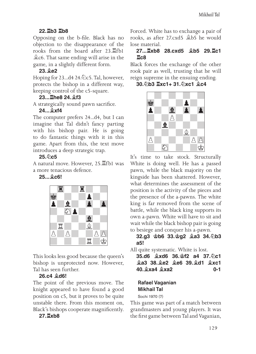## **22.♖b3 ♖b8**

Opposing on the b-file. Black has no objection to the disappearance of the rooks from the board after 23.♖fb1 ♗c6. That same ending will arise in the game, in a slightly different form.

## **23.♗e2**

Hoping for 23...d4 24.∕ ∠c5. Tal, however, protects the bishop in a different way, keeping control of the c5-square.

## **23...♖he8 24.♗f3**

A strategically sound pawn sacrifice.

## **24...♗xf4**

The computer prefers 24...d4, but I can imagine that Tal didn't fancy parting with his bishop pair. He is going to do fantastic things with it in this game. Apart from this, the text move introduces a deep strategic trap.

## **25.♘c5**

A natural move. However, 25.♖fb1 was a more tenacious defence.

## **25...♗c6!**



This looks less good because the queen's bishop is unprotected now. However, Tal has seen further.

## **26.c4 ♗d6!**

The point of the previous move. The knight appeared to have found a good position on c5, but it proves to be quite unstable there. From this moment on, Black's bishops cooperate magnificently.

## **27.♖xb8**

Forced. White has to exchange a pair of rooks, as after 27.cxd5 ♗b5 he would lose material.

#### **27...♖xb8 28.cxd5 ♗b5 29.♖c1 ♖c8**

Black forces the exchange of the other rook pair as well, trusting that he will reign supreme in the ensuing ending.

**30.♘b3 ♖xc1+ 31.♘xc1 ♗c4**



It's time to take stock. Structurally White is doing well. He has a passed pawn, while the black majority on the kingside has been shattered. However, what determines the assessment of the position is the activity of the pieces and the presence of the a-pawns. The white king is far removed from the scene of battle, while the black king supports its own a-pawn. White will have to sit and wait while the black bishop pair is going to besiege and conquer his a-pawn.

## **32.g3 ♔b6 33.♔g2 ♗a3 34.♘b3 a5!**

All quite systematic. White is lost.

**35.d6 ♗xd6 36.♔f2 a4 37.♘c1 ♗a3 38.♗e2 ♗e6 39.♗d1 ♗xc1 40.♗xa4 ♗xa2 0-1**

## Rafael Vaganian Mikhail Tal

Sochi 1970 (7)

This game was part of a match between grandmasters and young players. It was the first game between Tal and Vaganian,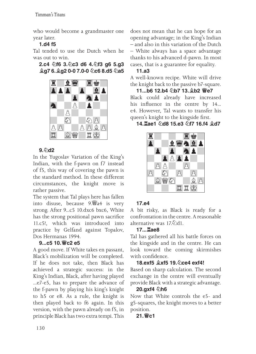who would become a grandmaster one year later.

## **1.d4 f5**

Tal tended to use the Dutch when he was out to win.

**2.c4 ♘f6 3.♘c3 d6 4.♘f3 g6 5.g3 ♗g7 6.♗g2 0-0 7.0-0 ♘c6 8.d5 ♘a5** 



## **9.♘d2**

In the Yugoslav Variation of the King's Indian, with the f-pawn on f7 instead of f5, this way of covering the pawn is the standard method. In these different circumstances, the knight move is rather passive.

The system that Tal plays here has fallen into disuse, because 9.♕a4 is very strong. After 9...c5 10.dxc6 bxc6, White has the strong positional pawn sacrifice 11.c5!, which was introduced into practice by Gelfand against Topalov, Dos Hermanas 1994.

## **9...c5 10.♕c2 e5**

A good move. If White takes en passant, Black's mobilization will be completed. If he does not take, then Black has achieved a strategic success: in the King's Indian, Black, after having played ...e7-e5, has to prepare the advance of the f-pawn by playing his king's knight to h5 or e8. As a rule, the knight is then played back to f6 again. In this version, with the pawn already on f5, in principle Black has two extra tempi. This

does not mean that he can hope for an opening advantage; in the King's Indian – and also in this variation of the Dutch – White always has a space advantage thanks to his advanced d-pawn. In most cases, that is a guarantee for equality.

## **11.a3**

A well-known recipe. White will drive the knight back to the passive b7-square.

**11...b6 12.b4 ♘b7 13.♗b2 ♕e7** Black could already have increased his influence in the centre by 14... e4. However, Tal wants to transfer his queen's knight to the kingside first.

## **14.♖ae1 ♘d8 15.e3 ♘f7 16.f4 ♗d7**



## **17.e4**

A bit risky, as Black is ready for a confrontation in the centre. A reasonable alternative was 17.♘d1.

## **17...♖ae8**

Tal has gathered all his battle forces on the kingside and in the centre. He can look toward the coming skirmishes with confidence.

## **18.exf5 ♗xf5 19.♘ce4 exf4!**

Based on sharp calculation. The second exchange in the centre will eventually provide Black with a strategic advantage.

## **20.gxf4 ♘h6**

Now that White controls the e5- and g5-squares, the knight moves to a better position.

## **21.♕c1**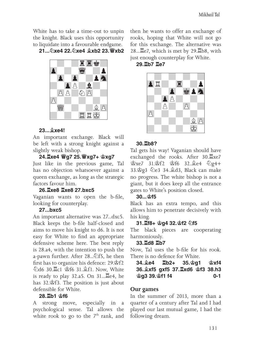White has to take a time-out to unpin the knight. Black uses this opportunity to liquidate into a favourable endgame.

**21...♘xe4 22.♘xe4 ♗xb2 23.♕xb2** 



#### **23...♗xe4!**

An important exchange. Black will be left with a strong knight against a slightly weak bishop.

#### **24.♖xe4 ♕g7 25.♕xg7+ ♔xg7**

Just like in the previous game, Tal has no objection whatsoever against a queen exchange, as long as the strategic factors favour him.

#### **26.♖xe8 ♖xe8 27.bxc5**

Vaganian wants to open the b-file, looking for counterplay.

#### **27...bxc5**

An important alternative was 27...dxc5. Black keeps the b-file half-closed and aims to move his knight to d6. It is not easy for White to find an appropriate defensive scheme here. The best reply is 28.a4, with the intention to push the a-pawn further. After 28...♘f5, he then first has to organize his defence: 29.♔f2 ♘d6 30.♖c1 ♔f6 31.♗f1. Now, White is ready to play 32.a5. On 31...♖e4, he has 32.♔f3. The position is just about defensible for White.

#### **28.♖b1 ♔f6**

A strong move, especially in a psychological sense. Tal allows the white rook to go to the  $7<sup>th</sup>$  rank, and then he wants to offer an exchange of rooks, hoping that White will not go for this exchange. The alternative was 28...♖e7, which is met by 29.♖b8, with just enough counterplay for White.

#### **29.♖b7 ♖e7**



#### **30.♖b8?**

Tal gets his way! Vaganian should have exchanged the rooks. After 30.♖xe7 ♔xe7 31.♔f2 ♔f6 32.♗e4 ♘g4+ 33.♔g3 ♘e3 34.♗d3, Black can make no progress. The white bishop is not a giant, but it does keep all the entrance gates to White's position closed.

#### **30...♔f5**

Black has an extra tempo, and this allows him to penetrate decisively with his king.

#### **31.♖f8+ ♔g4 32.♔f2 ♘f5**

The black pieces are cooperating harmoniously.

#### **33.♖d8 ♖b7**

Now, Tal uses the b-file for his rook. There is no defence for White.

| $34.$ $2e4$ $2b2+$ $35.$ $2g1$ $2x14$ |  |     |
|---------------------------------------|--|-----|
| 36. 2xf5 gxf5 37. Exd6 \$f3 38.h3     |  |     |
| <b>ള്g3 39.</b> ള്11 f4               |  | 0-1 |

#### **Our games**

In the summer of 2013, more than a quarter of a century after Tal and I had played our last mutual game, I had the following dream.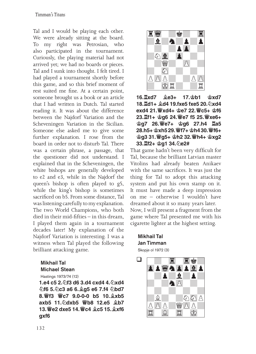Tal and I would be playing each other. We were already sitting at the board. To my right was Petrosian, who also participated in the tournament. Curiously, the playing material had not arrived yet; we had no boards or pieces. Tal and I sunk into thought. I felt tired. I had played a tournament shortly before this game, and so this brief moment of rest suited me fine. At a certain point, someone brought us a book or an article that I had written in Dutch. Tal started reading it. It was about the difference between the Najdorf Variation and the Scheveningen Variation in the Sicilian. Someone else asked me to give some further explanation. I rose from the board in order not to disturb Tal. There was a certain phrase, a passage, that the questioner did not understand. I explained that in the Scheveningen, the white bishops are generally developed to e2 and e3, while in the Najdorf the queen's bishop is often played to g5, while the king's bishop is sometimes sacrificed on b5. From some distance, Tal was listening carefully to my explanation. The two World Champions, who both died in their mid-fifties – in this dream, I played them again in a tournament decades later! My explanation of the Najdorf Variation is interesting. I was a witness when Tal played the following brilliant attacking game.

#### Mikhail Tal Michael Stean

Hastings 1973/74 (12)

**1.e4 c5 2.♘f3 d6 3.d4 cxd4 4.♘xd4 ♘f6 5.♘c3 a6 6.♗g5 e6 7.f4 ♘bd7 8.♕f3 ♕c7 9.0‑0‑0 b5 10.♗xb5 axb5 11.♘dxb5 ♕b8 12.e5 ♗b7 13.♕e2 dxe5 14.♕c4 ♗c5 15.♗xf6 gxf6** 



**16.♖xd7 ♗e3+ 17.♔b1 ♔xd7 18.♖d1+ ♗d4 19.fxe5 fxe5 20.♘xd4 exd4 21.♕xd4+ ♔e7 22.♕c5+ ♔f6 23.♖f1+ ♔g6 24.♕e7 f5 25.♕xe6+ ♔g7 26.♕e7+ ♔g6 27.h4 ♖a5 28.h5+ ♔xh5 29.♕f7+ ♔h4 30.♕f6+ ♔g3 31.♕g5+ ♔h2 32.♕h4+ ♔xg2 33.♖f2+ ♔g1 34.♘e2#**

That game hadn't been very difficult for Tal, because the brilliant Latvian master Vitolins had already beaten Anikaev with the same sacrifices. It was just the thing for Tal to adopt this attacking system and put his own stamp on it. It must have made a deep impression on me – otherwise I wouldn't have dreamed about it so many years later. Now, I will present a fragment from the game where Tal presented me with his cigarette lighter at the highest setting.

#### Mikhail Tal Jan Timman Skopje ol 1972 (3)

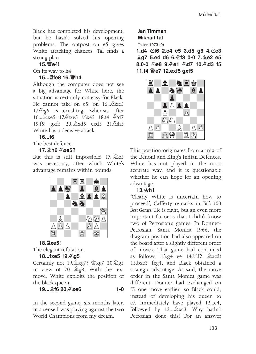Black has completed his development, but he hasn't solved his opening problems. The outpost on e5 gives White attacking chances. Tal finds a strong plan.

#### **15.♕e4!**

On its way to h4.

#### **15...♖fe8 16.♕h4**

Although the computer does not see a big advantage for White here, the situation is certainly not easy for Black. He cannot take on e5: on 16... 2xe5 17.♘g5 is crushing, whereas after 16...♗xe5 17.♘xe5 ♘xe5 18.f4 ♘d7 19.f5! gxf5 20.♗xd5 cxd5 21.♘h5 White has a decisive attack.

#### **16...f6**

The best defence.

#### **17.♗h6 ♘xe5?**

But this is still impossible! 17...♘c5 was necessary, after which White's advantage remains within bounds.



## **18.♖xe5!**

The elegant refutation.

#### **18...fxe5 19.♘g5**

Certainly not 19.♗xg7? ♔xg7 20.♘g5 in view of 20...♗g8. With the text move, White exploits the position of the black queen.

#### **19...♗f6 20.♘xe6 1-0**

In the second game, six months later, in a sense I was playing against the two World Champions from my dream.

#### Jan Timman Mikhail Tal

Tallinn 1973 (9)

**1.d4 ♘f6 2.c4 c5 3.d5 g6 4.♘c3 ♗g7 5.e4 d6 6.♘f3 0-0 7.♗e2 e5 8.0-0 ♘e8 9.♘e1 ♘d7 10.♘d3 f5 11.f4 ♕e7 12.exf5 gxf5**



This position originates from a mix of the Benoni and King's Indian Defences. White has not played in the most accurate way, and it is questionable whether he can hope for an opening advantage.

#### **13.♔h1**

'Clearly White is uncertain how to proceed', Cafferty remarks in *Tal's 100 Best Games*. He is right, but an even more important factor is that I didn't know two of Petrosian's games. In Donner-Petrosian, Santa Monica 1966, the diagram position had also appeared on the board after a slightly different order of moves. That game had continued as follows: 13.g4 e4 14.♘f2 ♗xc3! 15.bxc3 fxg4, and Black obtained a strategic advantage. As said, the move order in the Santa Monica game was different. Donner had exchanged on f5 one move earlier, so Black could, instead of developing his queen to e7, immediately have played 12...e4, followed by 13...♗xc3. Why hadn't Petrosian done this? For an answer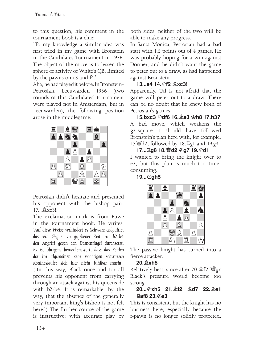to this question, his comment in the tournament book is a clue:

'To my knowledge a similar idea was first tried in my game with Bronstein in the Candidates Tournament in 1956. The object of the move is to lessen the sphere of activity of White's QB, limited by the pawns on c3 and f4.'

Aha, he had played it before. In Bronstein-<br>Petrosian Leeuwarden 1956 (two Leeuwarden 1956 (two rounds of this Candidates' tournament were played not in Amsterdam, but in Leeuwarden), the following position arose in the middlegame:



Petrosian didn't hesitate and presented his opponent with the bishop pair:  $17.9xc3!$ 

The exclamation mark is from Euwe in the tournament book. He writes: '*Auf diese Weise verhindert es Schwarz endgultig, das sein Gegner zu gegebener Zeit mit b2-b4 den Angriff gegen den Damenflugel durchsetzt. Es ist übrigens bemerkenswert, dass das Fehlen der im algemeinen sehr wichtigen schwarzen Koningslaufer sich hier nicht fuhlbar macht*.' ('In this way, Black once and for all prevents his opponent from carrying through an attack against his queenside with b2-b4. It is remarkable, by the way, that the absence of the generally very important king's bishop is not felt here.') The further course of the game is instructive; with accurate play by both sides, neither of the two will be able to make any progress.

In Santa Monica, Petrosian had a bad start with 1.5 points out of 4 games. He was probably hoping for a win against Donner, and he didn't want the game to peter out to a draw, as had happened against Bronstein.

#### **13...e4 14.♘f2 ♗xc3!**

Apparently, Tal is not afraid that the game will peter out to a draw. There can be no doubt that he knew both of Petrosian's games.

**15.bxc3 ♘df6 16.♗e3 ♔h8 17.h3?** A bad move, which weakens the g3-square. I should have followed Bronstein's plan here with, for example, 17.♕d2, followed by 18.♖g1 and 19.g3.

**17...♖g8 18.♕d2 ♘g7 19.♘d1** I wanted to bring the knight over to e3, but this plan is much too timeconsuming.

## **19...♘gh5**



The passive knight has turned into a fierce attacker.

#### **20.♗xh5**

Relatively best, since after 20. £f2 Wg7 Black's pressure would become too strong.

#### **20...♘xh5 21.♗f2 ♗d7 22.♗e1 ♖af8 23.♘e3**

This is consistent, but the knight has no business here, especially because the f-pawn is no longer solidly protected.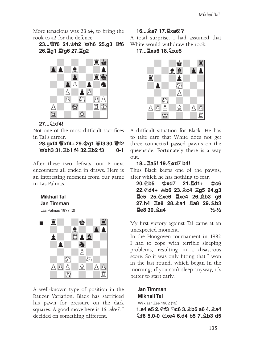More tenacious was 23.a4, to bring the rook to a2 for the defence.

**23...♕f6 24.♔h2 ♕h6 25.g3 ♖f6 26.♖g1 ♖fg6 27.♖g2** 



#### **27...♘xf4!**

Not one of the most difficult sacrifices in Tal's career.

#### **28.gxf4 ♕xf4+ 29.♔g1 ♕f3 30.♕f2 ♕xh3 31.♖b1 f4 32.♖b2 f3 0-1**

After these two defeats, our 8 next encounters all ended in draws. Here is an interesting moment from our game in Las Palmas.

#### Mikhail Tal Jan Timman

Las Palmas 1977 (2)



A well-known type of position in the Rauzer Variation. Black has sacrificed his pawn for pressure on the dark squares. A good move here is 16...♔e7. I decided on something different.

## **16...♗e7 17.♖xa6!?**

A total surprise. I had assumed that White would withdraw the rook.

**17...♖xa6 18.♘xe5**



A difficult situation for Black. He has to take care that White does not get three connected passed pawns on the queenside. Fortunately there is a way out.

#### **18...♖a5! 19.♘xd7 b4!**

Thus Black keeps one of the pawns, after which he has nothing to fear.

**20.♘b5 ♔xd7 21.♖d1+ ♔c6 22.♘d4+ ♔b6 23.♗c4 ♖g5 24.g3 ♖e5 25.♘xe6 ♖xe4 26.♗b3 g6 27.h4 ♖e8 28.♗a4 ♖a8 29.♗b3 ♖e8 30.♗a4 ½-½**

My first victory against Tal came at an unexpected moment.

In the Hoogoven tournament in 1982 I had to cope with terrible sleeping problems, resulting in a disastrous score. So it was only fitting that I won in the last round, which began in the morning; if you can't sleep anyway, it's better to start early.

Jan Timman Mikhail Tal Wijk aan Zee 1982 (13) **1.e4 e5 2.♘f3 ♘c6 3.♗b5 a6 4.♗a4 ♘f6 5.0-0 ♘xe4 6.d4 b5 7.♗b3 d5**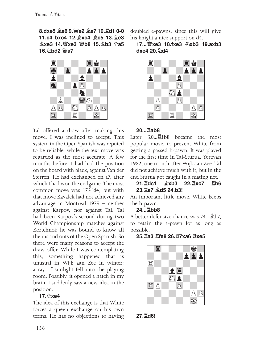**8.dxe5 ♗e6 9.♕e2 ♗e7 10.♖d1 0-0 11.c4 bxc4 12.♗xc4 ♗c5 13.♗e3**  $\frac{6}{2}$ **xe3 14. \$xe3 \$b8 15. \$b3 2a5 16.♘bd2 ♕a7**



Tal offered a draw after making this move. I was inclined to accept. This system in the Open Spanish was reputed to be reliable, while the text move was regarded as the most accurate. A few months before, I had had the position on the board with black, against Van der Sterren. He had exchanged on a7, after which I had won the endgame. The most common move was 17.<del>⊘d4</del>, but with that move Kavalek had not achieved any advantage in Montreal 1979 – neither against Karpov, nor against Tal. Tal had been Karpov's second during two World Championship matches against Kortchnoi; he was bound to know all the ins and outs of the Open Spanish. So there were many reasons to accept the draw offer. While I was contemplating this, something happened that is unusual in Wijk aan Zee in winter: a ray of sunlight fell into the playing room. Possibly, it opened a hatch in my brain. I suddenly saw a new idea in the position.

## **17.♘xe4**

The idea of this exchange is that White forces a queen exchange on his own terms. He has no objections to having

doubled e-pawns, since this will give his knight a nice support on d4.

## **17...♕xe3 18.fxe3 ♘xb3 19.axb3 dxe4 20.♘d4**



#### **20...♖ab8**

Later, 20... Later, 20... Later, 20... popular move, to prevent White from getting a passed b-pawn. It was played for the first time in Tal-Sturua, Yerevan 1982, one month after Wijk aan Zee. Tal did not achieve much with it, but in the end Sturua got caught in a mating net.<br>21.Edc1  $\&x$ b3 22.Exc7 Eb

## **21.♖dc1 ♗xb3 22.♖xc7 ♖b6 23.♖a7 ♗d5 24.b3!**

An important little move. White keeps the b-pawn.

#### **24...♖bb8**

A better defensive chance was 24...♗b7, to retain the a-pawn for as long as possible.

## **25.♖a3 ♖fe8 26.♖7xa6 ♖xe5**